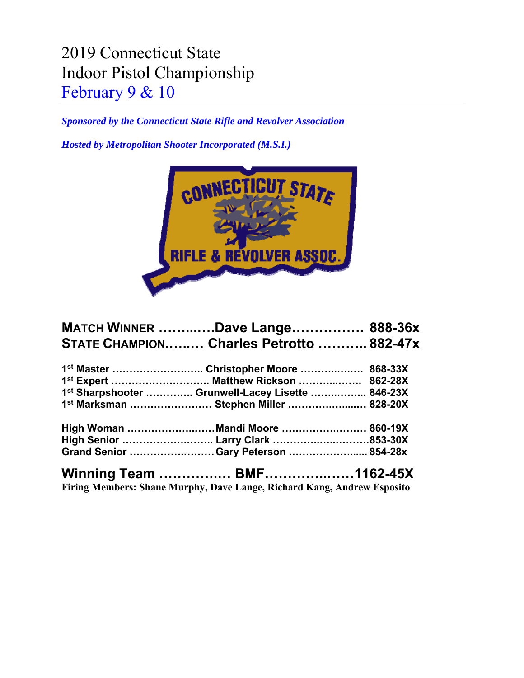## 2019 Connecticut State Indoor Pistol Championship February 9 & 10

*Sponsored by the Connecticut State Rifle and Revolver Association* 

*Hosted by Metropolitan Shooter Incorporated (M.S.I.)* 



| <b>MATCH WINNER Dave Lange 888-36x</b>            |  |
|---------------------------------------------------|--|
| STATE CHAMPION Charles Petrotto  882-47x          |  |
|                                                   |  |
|                                                   |  |
| 1st Sharpshooter  Grunwell-Lacey Lisette  846-23X |  |
| 1st Marksman  Stephen Miller  828-20X             |  |
| High Woman Mandi Moore  860-19X                   |  |
| High Senior  Larry Clark 853-30X                  |  |
| Grand Senior Gary Peterson  854-28x               |  |
|                                                   |  |

**Firing Members: Shane Murphy, Dave Lange, Richard Kang, Andrew Esposito**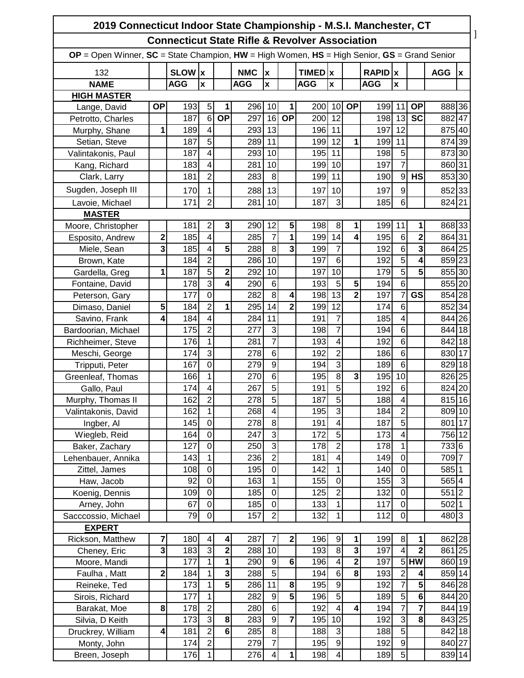| 2019 Connecticut Indoor State Championship - M.S.I. Manchester, CT                                                                                                 |                         |            |                            |                         |            |                                  |                |                    |                                  |                         |                           |                               |                         |                |   |
|--------------------------------------------------------------------------------------------------------------------------------------------------------------------|-------------------------|------------|----------------------------|-------------------------|------------|----------------------------------|----------------|--------------------|----------------------------------|-------------------------|---------------------------|-------------------------------|-------------------------|----------------|---|
| <b>Connecticut State Rifle &amp; Revolver Association</b><br>$OP = Open$ Winner, $SC = State$ Champion, $HW = High$ Women, $HS = High$ Senior, $GS = Grand$ Senior |                         |            |                            |                         |            |                                  |                |                    |                                  |                         |                           |                               |                         |                |   |
|                                                                                                                                                                    |                         |            |                            |                         |            |                                  |                |                    |                                  |                         |                           |                               |                         |                |   |
| 132                                                                                                                                                                |                         | SLOW  x    |                            |                         | <b>NMC</b> | $\boldsymbol{x}$                 |                | TIMED <sub>x</sub> |                                  |                         | <b>RAPID</b> <sub>x</sub> |                               |                         | <b>AGG</b>     | x |
| <b>NAME</b>                                                                                                                                                        |                         | <b>AGG</b> | $\mathbf{x}$               |                         | <b>AGG</b> | $\mathbf{x}$                     |                | <b>AGG</b>         | $\pmb{\mathsf{x}}$               |                         | <b>AGG</b>                | $\pmb{\mathsf{x}}$            |                         |                |   |
| <b>HIGH MASTER</b>                                                                                                                                                 |                         |            |                            |                         |            |                                  |                |                    |                                  |                         |                           |                               |                         |                |   |
| Lange, David                                                                                                                                                       | <b>OP</b>               | 193        | 5                          | 1                       | 296 10     |                                  | 1              | 200 10             |                                  | <b>OP</b>               | 199 11                    |                               | <b>OP</b>               | 888 36         |   |
| Petrotto, Charles                                                                                                                                                  |                         | 187        | $6\phantom{1}$             | <b>OP</b>               | 297        | 16                               | <b>OP</b>      | 200                | 12                               |                         | 198 13                    |                               | <b>SC</b>               | 882 47         |   |
| Murphy, Shane                                                                                                                                                      | 1                       | 189        | 4                          |                         | 293 13     |                                  |                | 196 11             |                                  |                         | 197                       | 12                            |                         | 875 40         |   |
| Setian, Steve                                                                                                                                                      |                         | 187        | $\overline{5}$             |                         | 289 11     |                                  |                | 199                | 12                               | 1                       | 199                       | 11                            |                         | 874 39         |   |
| Valintakonis, Paul                                                                                                                                                 |                         | 187        | $\overline{\mathbf{4}}$    |                         | 293        | 10                               |                | 195 11             |                                  |                         | 198                       | 5                             |                         | 873 30         |   |
| Kang, Richard                                                                                                                                                      |                         | 183        | 4                          |                         | 281        | 10                               |                | 199                | 10                               |                         | 197                       | $\overline{7}$                |                         | 860 31         |   |
| Clark, Larry                                                                                                                                                       |                         | 181        | $\overline{2}$             |                         | 283        | 8                                |                | 199 11             |                                  |                         | 190                       | $9\,$                         | <b>HS</b>               | 853 30         |   |
| Sugden, Joseph III                                                                                                                                                 |                         | 170        | 1                          |                         | 288        | 13                               |                | 197                | 10                               |                         | 197                       | 9                             |                         | 85233          |   |
| Lavoie, Michael                                                                                                                                                    |                         | 171        | $\overline{2}$             |                         | 281        | 10                               |                | 187                | 3                                |                         | 185                       | 6                             |                         | 824 21         |   |
| <b>MASTER</b>                                                                                                                                                      |                         |            |                            |                         |            |                                  |                |                    |                                  |                         |                           |                               |                         |                |   |
| Moore, Christopher                                                                                                                                                 |                         | 181        | $\overline{2}$             | 3                       | 290        | 12                               | 5              | 198                | 8                                | 1                       | 199                       | 11                            | 1                       | 868 33         |   |
| Esposito, Andrew                                                                                                                                                   | $\overline{\mathbf{c}}$ | 185        | $\overline{\mathbf{4}}$    |                         | 285        | $\overline{7}$                   | 1              | 199                | 14                               | 4                       | 195                       | $\,6$                         | $\overline{2}$          | 864 31         |   |
| Miele, Sean                                                                                                                                                        | 3                       | 185        | $\overline{4}$             | 5                       | 288        | $\overline{8}$                   | 3              | 199                | $\overline{7}$                   |                         | 192                       | 6                             | 3                       | 864 25         |   |
| Brown, Kate                                                                                                                                                        |                         | 184        | $\overline{2}$             |                         | 286 10     |                                  |                | 197                | 6                                |                         | 192                       | $\overline{5}$                | 4                       | 859 23         |   |
| Gardella, Greg                                                                                                                                                     | 1                       | 187        | $\overline{5}$             | 2                       | 292        | 10                               |                | 197                | 10                               |                         | 179                       | $\overline{5}$                | 5                       | 855 30         |   |
| Fontaine, David                                                                                                                                                    |                         | 178        | $\overline{3}$             | 4                       | 290        | 6                                |                | 193                | 5                                | 5                       | 194                       | $6\phantom{1}6$               |                         | 855 20         |   |
| Peterson, Gary                                                                                                                                                     |                         | 177        | $\overline{0}$             |                         | 282        | $\overline{8}$                   | 4              | 198                | 13                               | $\overline{2}$          | 197                       | $\overline{7}$                | GS                      | 854 28         |   |
| Dimaso, Daniel                                                                                                                                                     | 5                       | 184        | $\overline{2}$             | 1                       | 295        | 14                               | $\overline{2}$ | 199                | 12                               |                         | 174                       | $6\phantom{1}6$               |                         | 852 34         |   |
| Savino, Frank                                                                                                                                                      | 4                       | 184        | $\overline{4}$             |                         | 284        | 11                               |                | 191                | $\overline{7}$                   |                         | 185                       | 4                             |                         | 844 26         |   |
| Bardoorian, Michael                                                                                                                                                |                         | 175        | $\overline{2}$             |                         | 277        | 3                                |                | 198                | $\overline{7}$                   |                         | 194                       | $6\phantom{1}6$               |                         | 844 18         |   |
| Richheimer, Steve                                                                                                                                                  |                         | 176        | $\mathbf{1}$               |                         | 281        | $\overline{7}$                   |                | 193                | 4                                |                         | 192                       | 6                             |                         | 842 18         |   |
| Meschi, George                                                                                                                                                     |                         | 174        | 3                          |                         | 278        | $\,6$                            |                | 192                | $\overline{c}$                   |                         | 186                       | 6                             |                         | 830 17         |   |
| Tripputi, Peter                                                                                                                                                    |                         | 167        | $\overline{0}$             |                         | 279        | $\overline{9}$                   |                | 194                | $\overline{3}$                   |                         | 189                       | $\overline{6}$                |                         | 829 18         |   |
| Greenleaf, Thomas                                                                                                                                                  |                         | 166        | $\mathbf{1}$               |                         | 270        | $6\phantom{1}$                   |                | 195                | $\overline{8}$                   | $\mathbf{3}$            | 195                       | 10                            |                         | 826 25         |   |
| Gallo, Paul                                                                                                                                                        |                         | 174        | 4                          |                         | 267        | 5                                |                | 191                | $\overline{5}$                   |                         | 192                       | $6\phantom{1}6$               |                         | 824 20         |   |
| Murphy, Thomas II                                                                                                                                                  |                         | 162        | $\overline{\mathbf{c}}$    |                         | 278        | $\overline{5}$                   |                | 187                | $\overline{5}$                   |                         | 188                       | 4                             |                         | 815 16         |   |
| Valintakonis, David                                                                                                                                                |                         | 162        | $\mathbf{1}$               |                         | 268        | $\overline{\mathbf{4}}$          |                | 195                | 3                                |                         | 184                       | $\overline{2}$                |                         | 809 10         |   |
| Ingber, Al                                                                                                                                                         |                         | 145        | $\mathbf 0$                |                         | 278        | 8                                |                | 191                | 4                                |                         | 187                       | $\overline{5}$                |                         | 801 17         |   |
| Wiegleb, Reid                                                                                                                                                      |                         | 164        | $\overline{0}$             |                         | 247        | $\overline{3}$                   |                | 172                | $\overline{5}$                   |                         | 173                       | 4                             |                         | 756 12         |   |
| Baker, Zachary                                                                                                                                                     |                         | 127        | $\overline{0}$             |                         | 250        | $\overline{3}$<br>$\overline{2}$ |                | 178                | $\overline{c}$<br>$\overline{4}$ |                         | 178                       | $\mathbf 1$<br>$\overline{0}$ |                         | 733 6          |   |
| Lehenbauer, Annika                                                                                                                                                 |                         | 143        | $\mathbf{1}$               |                         | 236        |                                  |                | 181                |                                  |                         | 149                       |                               |                         | 709 7          |   |
| Zittel, James                                                                                                                                                      |                         | 108        | $\mathsf 0$<br>$\mathbf 0$ |                         | 195        | $\mathbf 0$                      |                | 142                | $\mathbf{1}$<br>$\mathbf 0$      |                         | 140                       | $\mathbf 0$                   |                         | 585 1          |   |
| Haw, Jacob                                                                                                                                                         |                         | 92<br>109  | $\mathbf 0$                |                         | 163<br>185 | $\mathbf 1$<br>$\mathbf 0$       |                | 155<br>125         | $\overline{c}$                   |                         | 155<br>132                | 3<br>$\mathbf 0$              |                         | 565 4<br>551 2 |   |
| Koenig, Dennis<br>Arney, John                                                                                                                                      |                         | 67         | $\mathbf 0$                |                         | 185        | $\mathbf 0$                      |                | 133                | $\mathbf 1$                      |                         | 117                       | $\mathbf 0$                   |                         | $502$ 1        |   |
| Sacccossio, Michael                                                                                                                                                |                         | 79         | $\overline{0}$             |                         | 157        | $\overline{2}$                   |                | 132                | 1                                |                         | 112                       | $\mathbf 0$                   |                         | 480 3          |   |
| <b>EXPERT</b>                                                                                                                                                      |                         |            |                            |                         |            |                                  |                |                    |                                  |                         |                           |                               |                         |                |   |
| Rickson, Matthew                                                                                                                                                   | 7                       | 180        | $\overline{\mathcal{A}}$   | 4                       | 287        | 7                                | 2              | 196                | 9                                | 1                       | 199                       | 8                             | 1                       | 862 28         |   |
| Cheney, Eric                                                                                                                                                       | 3                       | 183        | $\overline{3}$             | $\overline{\mathbf{c}}$ | 288        | 10                               |                | 193                | $\overline{8}$                   | 3                       | 197                       | $\overline{\mathbf{4}}$       | $\overline{\mathbf{2}}$ | 861 25         |   |
| Moore, Mandi                                                                                                                                                       |                         | 177        | $\overline{1}$             | 1                       | 290        | $\overline{9}$                   | $\overline{6}$ | 196                | $\overline{4}$                   | $\overline{2}$          | 197                       |                               | $5$ HW                  | 860 19         |   |
| Faulha, Matt                                                                                                                                                       | 2                       | 184        | $\mathbf 1$                | 3                       | 288        | $\overline{5}$                   |                | 194                | $\overline{6}$                   | $\overline{\mathbf{8}}$ | 193                       | $\overline{2}$                | 4                       | 859 14         |   |
| Reineke, Ted                                                                                                                                                       |                         | 173        | $\mathbf 1$                | 5                       | 286        | 11                               | 8              | 195                | $\overline{9}$                   |                         | 192                       | $\overline{7}$                | 5                       | 846 28         |   |
| Sirois, Richard                                                                                                                                                    |                         | 177        | $\mathbf 1$                |                         | 282        | $\boldsymbol{9}$                 | $\overline{5}$ | 196                | $\overline{5}$                   |                         | 189                       | $\overline{5}$                | $\bf 6$                 | 844 20         |   |
| Barakat, Moe                                                                                                                                                       | 8                       | 178        | $\overline{2}$             |                         | 280        | $\,6$                            |                | 192                | $\overline{4}$                   | 4                       | 194                       | $\overline{7}$                | 7                       | 844 19         |   |
| Silvia, D Keith                                                                                                                                                    |                         | 173        | $\overline{3}$             | 8                       | 283        | $\overline{9}$                   | 7              | 195                | 10                               |                         | 192                       | $\overline{3}$                | 8                       | 843 25         |   |
| Druckrey, William                                                                                                                                                  | 4                       | 181        | $\overline{2}$             | $\bf 6$                 | 285        | $\overline{8}$                   |                | 188                | 3                                |                         | 188                       | $\overline{5}$                |                         | 842 18         |   |
| Monty, John                                                                                                                                                        |                         | 174        | $\overline{2}$             |                         | 279        | $\overline{7}$                   |                | 195                | $\overline{9}$                   |                         | 192                       | $\overline{9}$                |                         | 840 27         |   |
| Breen, Joseph                                                                                                                                                      |                         | 176        | $\mathbf{1}$               |                         | 276        | $\overline{\mathbf{4}}$          | 1              | 198                | 4                                |                         | 189                       | $\overline{5}$                |                         | 839 14         |   |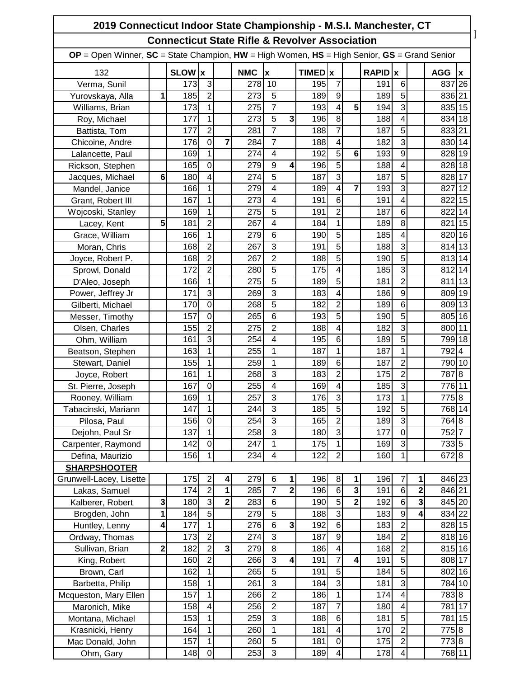| 2019 Connecticut Indoor State Championship - M.S.I. Manchester, CT                                    |                 |             |                         |                         |            |                         |                         |              |                         |                         |         |                         |   |            |    |
|-------------------------------------------------------------------------------------------------------|-----------------|-------------|-------------------------|-------------------------|------------|-------------------------|-------------------------|--------------|-------------------------|-------------------------|---------|-------------------------|---|------------|----|
| <b>Connecticut State Rifle &amp; Revolver Association</b>                                             |                 |             |                         |                         |            |                         |                         |              |                         |                         |         |                         |   |            |    |
| $OP = Open$ Winner, $SC = State$ Champion, $HW = High$ Women, $HS = High$ Senior, $GS = Grand$ Senior |                 |             |                         |                         |            |                         |                         |              |                         |                         |         |                         |   |            |    |
| 132                                                                                                   |                 | <b>SLOW</b> | Ιx                      |                         | <b>NMC</b> | $\pmb{\mathsf{x}}$      |                         | <b>TIMED</b> | x                       |                         | RAPID x |                         |   | <b>AGG</b> | x  |
| Verma, Sunil                                                                                          |                 | 173         | 3                       |                         | 278        | 10                      |                         | 195          | 7                       |                         | 191     | $6\phantom{1}$          |   | 837        | 26 |
| Yurovskaya, Alla                                                                                      | 1               | 185         | $\overline{2}$          |                         | 273        | 5                       |                         | 189          | 9                       |                         | 189     | 5                       |   | 836 21     |    |
| Williams, Brian                                                                                       |                 | 173         | 1                       |                         | 275        | 7                       |                         | 193          | $\overline{4}$          | 5                       | 194     | 3                       |   | 835 15     |    |
| Roy, Michael                                                                                          |                 | 177         | 1                       |                         | 273        | 5                       | 3                       | 196          | 8                       |                         | 188     | 4                       |   | 834 18     |    |
| Battista, Tom                                                                                         |                 | 177         | $\overline{2}$          |                         | 281        | 7                       |                         | 188          | $\overline{7}$          |                         | 187     | 5                       |   | 833 21     |    |
| Chicoine, Andre                                                                                       |                 | 176         | $\mathbf 0$             | 7                       | 284        | 7                       |                         | 188          | $\overline{\mathbf{4}}$ |                         | 182     | $\overline{3}$          |   | 830 14     |    |
| Lalancette, Paul                                                                                      |                 | 169         | 1                       |                         | 274        | 4                       |                         | 192          | $\overline{5}$          | 6                       | 193     | 9                       |   | 828 19     |    |
| Rickson, Stephen                                                                                      |                 | 165         | $\mathbf 0$             |                         | 279        | 9                       | 4                       | 196          | 5                       |                         | 188     | 4                       |   | 828 18     |    |
| Jacques, Michael                                                                                      | $6\phantom{1}6$ | 180         | 4                       |                         | 274        | 5                       |                         | 187          | $\overline{3}$          |                         | 187     | $\overline{5}$          |   | 828 17     |    |
| Mandel, Janice                                                                                        |                 | 166         | 1                       |                         | 279        | 4                       |                         | 189          | $\overline{4}$          | 7                       | 193     | 3                       |   | 827        | 12 |
| Grant, Robert III                                                                                     |                 | 167         | 1                       |                         | 273        | 4                       |                         | 191          | 6                       |                         | 191     | 4                       |   | 822 15     |    |
| Wojcoski, Stanley                                                                                     |                 | 169         | 1                       |                         | 275        | 5                       |                         | 191          | $\overline{2}$          |                         | 187     | 6                       |   | 822        | 14 |
| Lacey, Kent                                                                                           | 5               | 181         | $\overline{2}$          |                         | 267        | 4                       |                         | 184          | $\mathbf{1}$            |                         | 189     | 8                       |   | 821        | 15 |
| Grace, William                                                                                        |                 | 166         | $\mathbf{1}$            |                         | 279        | 6                       |                         | 190          | 5                       |                         | 185     | 4                       |   | 820 16     |    |
| Moran, Chris                                                                                          |                 | 168         | $\overline{2}$          |                         | 267        | 3                       |                         | 191          | $\overline{5}$          |                         | 188     | 3                       |   | 814 13     |    |
| Joyce, Robert P.                                                                                      |                 | 168         | $\overline{2}$          |                         | 267        | $\overline{2}$          |                         | 188          | 5                       |                         | 190     | 5                       |   | 813 14     |    |
| Sprowl, Donald                                                                                        |                 | 172         | $\overline{2}$          |                         | 280        | 5                       |                         | 175          | $\overline{4}$          |                         | 185     | 3                       |   | 812 14     |    |
| D'Aleo, Joseph                                                                                        |                 | 166         | 1                       |                         | 275        | 5                       |                         | 189          | 5                       |                         | 181     | $\overline{2}$          |   | 811        | 13 |
| Power, Jeffrey Jr                                                                                     |                 | 171         | 3                       |                         | 269        | 3                       |                         | 183          | $\overline{\mathbf{4}}$ |                         | 186     | 9                       |   | 809 19     |    |
| Gilberti, Michael                                                                                     |                 | 170         | $\overline{0}$          |                         | 268        | 5                       |                         | 182          | $\overline{2}$          |                         | 189     | 6                       |   | 809 13     |    |
| Messer, Timothy                                                                                       |                 | 157         | $\mathbf 0$             |                         | 265        | $6\phantom{1}6$         |                         | 193          | $\overline{5}$          |                         | 190     | 5                       |   | 805 16     |    |
| Olsen, Charles                                                                                        |                 | 155         | $\overline{2}$          |                         | 275        | $\overline{2}$          |                         | 188          | $\overline{\mathbf{4}}$ |                         | 182     | $\overline{3}$          |   | 800 11     |    |
| Ohm, William                                                                                          |                 | 161         | $\overline{3}$          |                         | 254        | 4                       |                         | 195          | $\overline{6}$          |                         | 189     | 5                       |   | 799 18     |    |
| Beatson, Stephen                                                                                      |                 | 163         | $\mathbf 1$             |                         | 255        | 1                       |                         | 187          | 1                       |                         | 187     | 1                       |   | 792 4      |    |
| Stewart, Daniel                                                                                       |                 | 155         | $\mathbf{1}$            |                         | 259        | 1                       |                         | 189          | $\overline{6}$          |                         | 187     | $\overline{2}$          |   | 790 10     |    |
| Joyce, Robert                                                                                         |                 | 161         | 1                       |                         | 268        | 3                       |                         | 183          | $\overline{c}$          |                         | 175     | $\overline{2}$          |   | 7878       |    |
| St. Pierre, Joseph                                                                                    |                 | 167         | $\pmb{0}$               |                         | 255        | $\overline{\mathbf{4}}$ |                         | 169          | $\overline{\mathbf{4}}$ |                         | 185     | 3                       |   | 776 11     |    |
| Rooney, William                                                                                       |                 | 169         | $\overline{1}$          |                         | 257        | ω                       |                         | 176          | $\overline{3}$          |                         | 173     | $\overline{1}$          |   | 775 8      |    |
| Tabacinski, Mariann                                                                                   |                 | 147         | 1                       |                         | 244        | 3                       |                         | 185          | $\overline{5}$          |                         | 192     | $\overline{5}$          |   | 768 14     |    |
| Pilosa, Paul                                                                                          |                 | 156         | $\boldsymbol{0}$        |                         | 254        | 3                       |                         | 165          | $\overline{2}$          |                         | 189     | $\overline{3}$          |   | 764 8      |    |
| Dejohn, Paul Sr                                                                                       |                 | 137         | $\mathbf 1$             |                         | 258        | 3                       |                         | 180          | $\overline{3}$          |                         | 177     | $\overline{0}$          |   | 752 7      |    |
| Carpenter, Raymond                                                                                    |                 | 142         | $\overline{0}$          |                         | 247        | 1                       |                         | 175          | $\mathbf{1}$            |                         | 169     | $\overline{3}$          |   | 7335       |    |
| Defina, Maurizio                                                                                      |                 | 156         | 1                       |                         | 234        | 4                       |                         | 122          | $\overline{2}$          |                         | 160     | 1                       |   | 6728       |    |
| <b>SHARPSHOOTER</b>                                                                                   |                 |             |                         |                         |            |                         |                         |              |                         |                         |         |                         |   |            |    |
| Grunwell-Lacey, Lisette                                                                               |                 | 175         | $\overline{c}$          | 4                       | 279        | 6                       |                         | 196          | 8                       | 1                       | 196     | 7                       | 1 | 846 23     |    |
| Lakas, Samuel                                                                                         |                 | 174         | $\overline{2}$          | 1                       | 285        | $\overline{7}$          | $\overline{\mathbf{2}}$ | 196          | $\sigma$                | $\overline{\mathbf{3}}$ | 191     | $\,6$                   | 2 | 846 21     |    |
| Kalberer, Robert                                                                                      | 3               | 180         | $\overline{3}$          | $\overline{\mathbf{2}}$ | 283        | $\,6$                   |                         | 190          | $\overline{5}$          | $\overline{\mathbf{2}}$ | 192     | $\overline{6}$          | 3 | 845 20     |    |
| Brogden, John                                                                                         | 1               | 184         | 5                       |                         | 279        | 5                       |                         | 188          | ω                       |                         | 183     | $\boldsymbol{9}$        | 4 | 834 22     |    |
| Huntley, Lenny                                                                                        | 4               | 177         | 1                       |                         | 276        | $\,6$                   | 3                       | 192          | $\,6$                   |                         | 183     | $\overline{2}$          |   | 828 15     |    |
| Ordway, Thomas                                                                                        |                 | 173         | $\overline{2}$          |                         | 274        | 3                       |                         | 187          | $\overline{9}$          |                         | 184     | $\overline{c}$          |   | 818 16     |    |
| Sullivan, Brian                                                                                       | 2               | 182         | $\overline{2}$          | 3                       | 279        | 8                       |                         | 186          | $\overline{\mathbf{4}}$ |                         | 168     | $\overline{2}$          |   | 815 16     |    |
| King, Robert                                                                                          |                 | 160         | 2                       |                         | 266        | 3                       | 4                       | 191          | $\overline{7}$          | 4                       | 191     | $\overline{5}$          |   | 808 17     |    |
| Brown, Carl                                                                                           |                 | 162         | $\mathbf 1$             |                         | 265        | 5                       |                         | 191          | $\overline{5}$          |                         | 184     | 5                       |   | 802 16     |    |
| Barbetta, Philip                                                                                      |                 | 158         | $\mathbf 1$             |                         | 261        | 3                       |                         | 184          | ω                       |                         | 181     | $\overline{3}$          |   | 784 10     |    |
| Mcqueston, Mary Ellen                                                                                 |                 | 157         | 1                       |                         | 266        | $\overline{2}$          |                         | 186          | $\mathbf{1}$            |                         | 174     | $\overline{\mathbf{4}}$ |   | 7838       |    |
| Maronich, Mike                                                                                        |                 | 158         | $\overline{\mathbf{4}}$ |                         | 256        | $\overline{2}$          |                         | 187          | $\overline{7}$          |                         | 180     | $\overline{\mathbf{4}}$ |   | 781 17     |    |
|                                                                                                       |                 | 153         | $\mathbf 1$             |                         | 259        | $\overline{3}$          |                         | 188          | $\sigma$                |                         | 181     | $\overline{5}$          |   | 781 15     |    |
| Montana, Michael                                                                                      |                 | 164         | $\mathbf 1$             |                         | 260        | $\mathbf{1}$            |                         | 181          | $\overline{\mathbf{A}}$ |                         | 170     | $\overline{2}$          |   | 775 8      |    |
| Krasnicki, Henry                                                                                      |                 | 157         | 1                       |                         | 260        | 5                       |                         | 181          | $\mathbf 0$             |                         | 175     | $\overline{2}$          |   | 7738       |    |
| Mac Donald, John                                                                                      |                 |             |                         |                         |            |                         |                         | 189          |                         |                         |         |                         |   | 768 11     |    |
| Ohm, Gary                                                                                             |                 | 148         | $\mathbf 0$             |                         | 253        | 3                       |                         |              | $\overline{\mathbf{4}}$ |                         | 178     | $\overline{\mathbf{4}}$ |   |            |    |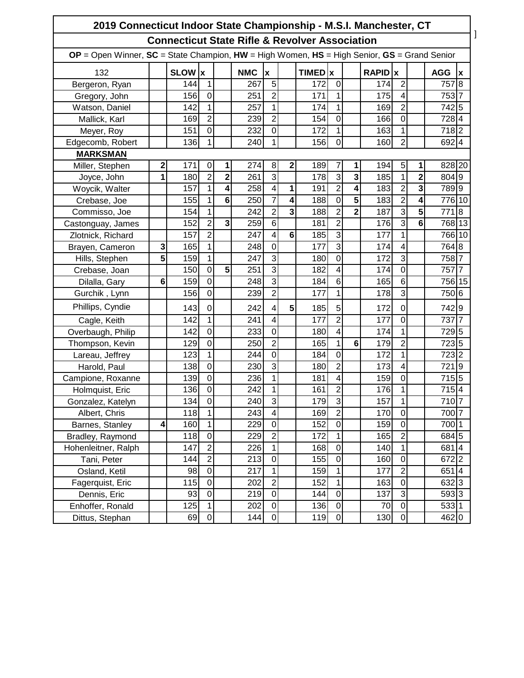| 2019 Connecticut Indoor State Championship - M.S.I. Manchester, CT                                    |   |             |                |                         |            |                |   |              |                         |                         |                |                         |                         |                   |                |
|-------------------------------------------------------------------------------------------------------|---|-------------|----------------|-------------------------|------------|----------------|---|--------------|-------------------------|-------------------------|----------------|-------------------------|-------------------------|-------------------|----------------|
| <b>Connecticut State Rifle &amp; Revolver Association</b>                                             |   |             |                |                         |            |                |   |              |                         |                         |                |                         |                         |                   |                |
| $OP = Open$ Winner, $SC = State$ Champion, $HW = High$ Women, $HS = High$ Senior, $GS = Grand$ Senior |   |             |                |                         |            |                |   |              |                         |                         |                |                         |                         |                   |                |
| 132                                                                                                   |   | <b>SLOW</b> | lχ             |                         | <b>NMC</b> | X              |   | <b>TIMED</b> | $\mathbf x$             |                         | <b>RAPID</b> x |                         |                         | <b>AGG</b>        | X              |
| Bergeron, Ryan                                                                                        |   | 144         | $\mathbf{1}$   |                         | 267        | 5              |   | 172          | $\mathbf 0$             |                         | 174            | $\overline{2}$          |                         | 757               | 8              |
| Gregory, John                                                                                         |   | 156         | $\overline{0}$ |                         | 251        | $\overline{2}$ |   | 171          | $\mathbf{1}$            |                         | 175            | $\overline{\mathbf{4}}$ |                         | 753 7             |                |
| Watson, Daniel                                                                                        |   | 142         | $\mathbf{1}$   |                         | 257        | $\mathbf{1}$   |   | 174          | 1                       |                         | 169            | $\overline{2}$          |                         | 7425              |                |
| Mallick, Karl                                                                                         |   | 169         | $\overline{2}$ |                         | 239        | $\overline{2}$ |   | 154          | $\mathbf 0$             |                         | 166            | $\mathbf 0$             |                         | 7284              |                |
| Meyer, Roy                                                                                            |   | 151         | $\mathbf 0$    |                         | 232        | $\mathbf 0$    |   | 172          | $\mathbf{1}$            |                         | 163            | $\mathbf{1}$            |                         | 7182              |                |
| Edgecomb, Robert                                                                                      |   | 136         | 1              |                         | 240        | $\mathbf{1}$   |   | 156          | $\mathbf 0$             |                         | 160            | $\overline{2}$          |                         | 6924              |                |
| <b>MARKSMAN</b>                                                                                       |   |             |                |                         |            |                |   |              |                         |                         |                |                         |                         |                   |                |
| Miller, Stephen                                                                                       | 2 | 171         | 0              | 1                       | 274        | 8              | 2 | 189          | 7                       | 1                       | 194            | 5                       | 1                       | 828 20            |                |
| Joyce, John                                                                                           | 1 | 180         | $\overline{2}$ | $\mathbf{2}$            | 261        | 3              |   | 178          | $\overline{3}$          | 3                       | 185            | $\mathbf{1}$            | $\overline{\mathbf{c}}$ | 804 9             |                |
| Woycik, Walter                                                                                        |   | 157         | $\mathbf{1}$   | 4                       | 258        | $\overline{4}$ | 1 | 191          | $\overline{2}$          | 4                       | 183            | $\overline{2}$          | 3                       | 7899              |                |
| Crebase, Joe                                                                                          |   | 155         | $\mathbf{1}$   | $6\phantom{1}$          | 250        | $\overline{7}$ | 4 | 188          | $\mathbf 0$             | $\overline{\mathbf{5}}$ | 183            | $\overline{2}$          | 4                       | 776 10            |                |
| Commisso, Joe                                                                                         |   | 154         | 1              |                         | 242        | $\overline{2}$ | 3 | 188          | $\overline{2}$          | $\overline{2}$          | 187            | $\overline{3}$          | 5                       | 771               | $\overline{8}$ |
| Castonguay, James                                                                                     |   | 152         | $\overline{2}$ | $\overline{\mathbf{3}}$ | 259        | 6              |   | 181          | $\overline{2}$          |                         | 176            | $\overline{3}$          | 6                       | 768 13            |                |
| Zlotnick, Richard                                                                                     |   | 157         | $\overline{2}$ |                         | 247        | $\overline{4}$ | 6 | 185          | $\overline{3}$          |                         | 177            | 1                       |                         | 766 10            |                |
| Brayen, Cameron                                                                                       | 3 | 165         | $\mathbf{1}$   |                         | 248        | 0              |   | 177          | 3                       |                         | 174            | 4                       |                         | 764 8             |                |
| Hills, Stephen                                                                                        | 5 | 159         | $\mathbf{1}$   |                         | 247        | 3              |   | 180          | $\mathbf 0$             |                         | 172            | $\overline{3}$          |                         | 758               |                |
| Crebase, Joan                                                                                         |   | 150         | $\mathbf 0$    | 5                       | 251        | $\overline{3}$ |   | 182          | $\overline{\mathbf{4}}$ |                         | 174            | $\mathbf 0$             |                         | 757               |                |
| Dilalla, Gary                                                                                         | 6 | 159         | $\overline{0}$ |                         | 248        | 3              |   | 184          | $\overline{6}$          |                         | 165            | $\overline{6}$          |                         | 756 15            |                |
| Gurchik, Lynn                                                                                         |   | 156         | $\overline{0}$ |                         | 239        | $\overline{2}$ |   | 177          | 1                       |                         | 178            | 3                       |                         | 750 6             |                |
| Phillips, Cyndie                                                                                      |   | 143         | 0              |                         | 242        | $\overline{4}$ | 5 | 185          | 5                       |                         | 172            | $\mathbf 0$             |                         | 7429              |                |
| Cagle, Keith                                                                                          |   | 142         | $\mathbf{1}$   |                         | 241        | 4              |   | 177          | $\overline{2}$          |                         | 177            | $\mathbf 0$             |                         | 737               | 7              |
| Overbaugh, Philip                                                                                     |   | 142         | $\mathbf 0$    |                         | 233        | $\mathbf 0$    |   | 180          | $\overline{\mathbf{4}}$ |                         | 174            | $\mathbf{1}$            |                         | 7295              |                |
| Thompson, Kevin                                                                                       |   | 129         | $\overline{0}$ |                         | 250        | $\overline{2}$ |   | 165          | $\mathbf{1}$            | 6 <sup>1</sup>          | 179            | $\overline{2}$          |                         | 7235              |                |
| Lareau, Jeffrey                                                                                       |   | 123         | 1              |                         | 244        | $\overline{0}$ |   | 184          | $\mathbf 0$             |                         | 172            | $\mathbf{1}$            |                         | 723 2             |                |
| Harold, Paul                                                                                          |   | 138         | $\mathbf 0$    |                         | 230        | 3              |   | 180          | $\overline{2}$          |                         | 173            | $\overline{\mathbf{4}}$ |                         | 721               | $\overline{9}$ |
| Campione, Roxanne                                                                                     |   | 139         | $\overline{0}$ |                         | 236        | 1              |   | 181          | $\overline{\mathbf{4}}$ |                         | 159            | $\mathbf 0$             |                         | 7155              |                |
| Holmquist, Eric                                                                                       |   | 136         | 0              |                         | 242        | 1              |   | 161          | $\overline{\mathbf{c}}$ |                         | 176            | 1                       |                         | 7154              |                |
| Gonzalez, Katelyn                                                                                     |   | 134         | 0              |                         | 240        | 3              |   | 179          | $\mathbf{3}$            |                         | 157            | 1                       |                         | 710 7             |                |
| Albert, Chris                                                                                         |   | 118         | $\mathbf{1}$   |                         | 243        | $\overline{4}$ |   | 169          | $\overline{2}$          |                         | 170            | $\mathsf 0$             |                         | 700 7             |                |
| Barnes, Stanley                                                                                       | 4 | 160         | $\mathbf 1$    |                         | 229        | $\mathbf 0$    |   | 152          | $\mathsf{O}\xspace$     |                         | 159            | $\mathbf 0$             |                         | $700\overline{1}$ |                |
| Bradley, Raymond                                                                                      |   | 118         | $\mathbf 0$    |                         | 229        | $\overline{2}$ |   | 172          | $\mathbf{1}$            |                         | 165            | $\overline{c}$          |                         | 684 5             |                |
| Hohenleitner, Ralph                                                                                   |   | 147         | $\overline{2}$ |                         | 226        | 1              |   | 168          | $\mathbf 0$             |                         | 140            | $\mathbf{1}$            |                         | 6814              |                |
| Tani, Peter                                                                                           |   | 144         | $\overline{2}$ |                         | 213        | $\mathbf 0$    |   | 155          | $\mathsf 0$             |                         | 160            | $\boldsymbol{0}$        |                         | 672 2             |                |
| Osland, Ketil                                                                                         |   | 98          | $\pmb{0}$      |                         | 217        | $\mathbf{1}$   |   | 159          | 1                       |                         | 177            | $\overline{2}$          |                         | 6514              |                |
| Fagerquist, Eric                                                                                      |   | 115         | $\mathbf 0$    |                         | 202        | $\overline{2}$ |   | 152          | 1                       |                         | 163            | $\mathbf 0$             |                         | 6323              |                |
| Dennis, Eric                                                                                          |   | 93          | 0              |                         | 219        | 0              |   | 144          | $\mathsf 0$             |                         | 137            | $\overline{3}$          |                         | 593 3             |                |
| Enhoffer, Ronald                                                                                      |   | 125         | $\mathbf 1$    |                         | 202        | $\mathbf 0$    |   | 136          | $\mathbf 0$             |                         | 70             | $\mathbf 0$             |                         | 533 1             |                |
| Dittus, Stephan                                                                                       |   | 69          | 0              |                         | 144        | 0              |   | 119          | $\mathbf 0$             |                         | 130            | $\mathbf 0$             |                         | 462 0             |                |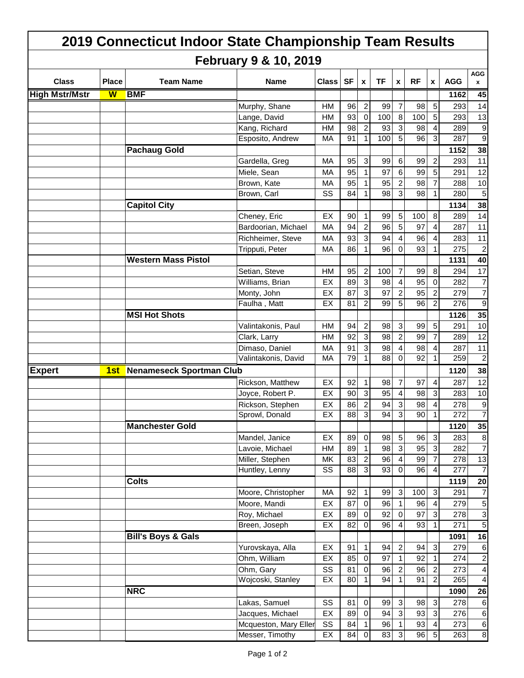|                       |                         |                     |                               | 2019 Connecticut Indoor State Championship Team Results |              |                 |                |           |                  |                 |                         |            |                           |
|-----------------------|-------------------------|---------------------|-------------------------------|---------------------------------------------------------|--------------|-----------------|----------------|-----------|------------------|-----------------|-------------------------|------------|---------------------------|
|                       |                         |                     |                               | <b>February 9 &amp; 10, 2019</b>                        |              |                 |                |           |                  |                 |                         |            |                           |
| <b>Class</b>          | <b>Place</b>            |                     | <b>Team Name</b>              | Name                                                    | <b>Class</b> | <b>SF</b>       | $\pmb{\chi}$   | <b>TF</b> | X                | <b>RF</b>       | X                       | <b>AGG</b> | AGG<br>$\pmb{\mathsf{x}}$ |
| <b>High Mstr/Mstr</b> | $\overline{\mathsf{W}}$ | <b>BMF</b>          |                               |                                                         |              |                 |                |           |                  |                 |                         | 1162       | 45                        |
|                       |                         |                     |                               | Murphy, Shane                                           | <b>HM</b>    | 96              | 2              | 99        | $\overline{7}$   | 98              | $\sqrt{5}$              | 293        | 14                        |
|                       |                         |                     |                               | Lange, David                                            | <b>HM</b>    | 93              | $\mathbf 0$    | 100       | $\boldsymbol{8}$ | 100             | $\overline{5}$          | 293        | 13                        |
|                       |                         |                     |                               | Kang, Richard                                           | HM           | 98              | 2              | 93        | $\mathbf{3}$     | 98              | 4                       | 289        | 9                         |
|                       |                         |                     |                               | Esposito, Andrew                                        | МA           | 91              | 1              | 100       | 5                | 96              | 3                       | 287        | 9                         |
|                       |                         |                     | <b>Pachaug Gold</b>           |                                                         |              |                 |                |           |                  |                 |                         | 1152       | 38                        |
|                       |                         |                     |                               | Gardella, Greg                                          | МA           | 95              | 3              | 99        | 6                | 99              | $\overline{\mathbf{c}}$ | 293        | 11                        |
|                       |                         |                     |                               | Miele, Sean                                             | МA           | 95              | 1              | 97        | 6                | 99              | $\overline{5}$          | 291        | 12                        |
|                       |                         |                     |                               | Brown, Kate                                             | MA           | 95              | 1              | 95        | $\overline{c}$   | 98              | $\overline{7}$          | 288        | 10                        |
|                       |                         |                     |                               | Brown, Carl                                             | SS           | 84              | 1              | 98        | 3                | 98              | 1                       | 280        | 5                         |
|                       |                         | <b>Capitol City</b> |                               |                                                         |              |                 |                |           |                  |                 |                         | 1134       | 38                        |
|                       |                         |                     |                               | Cheney, Eric                                            | EX           | 90              | 1              | 99        | $\overline{5}$   | 100             | 8                       | 289        | 14                        |
|                       |                         |                     |                               | Bardoorian, Michael                                     | MA           | 94              | 2              | 96        | 5                | 97              | 4                       | 287        | 11                        |
|                       |                         |                     |                               | Richheimer, Steve                                       | MA           | 93              | 3              | 94        | 4                | 96              | 4                       | 283        | 11                        |
|                       |                         |                     |                               | Tripputi, Peter                                         | МA           | 86              | 1.             | 96        | 0                | 93              | 1                       | 275        | $\overline{2}$            |
|                       |                         |                     | <b>Western Mass Pistol</b>    |                                                         |              |                 |                |           |                  |                 |                         | 1131       | 40                        |
|                       |                         |                     |                               | Setian, Steve                                           | HM           | 95              | 2              | 100       | $\overline{7}$   | 99              | $\,8\,$                 | 294        | 17                        |
|                       |                         |                     |                               | Williams, Brian                                         | EX           | 89              | 3              | 98        | $\overline{4}$   | 95              | $\Omega$                | 282        | 7                         |
|                       |                         |                     |                               | Monty, John                                             | EX           | 87              | 3              | 97        | $\overline{c}$   | 95              | $\overline{c}$          | 279        | 7                         |
|                       |                         |                     |                               | Faulha, Matt                                            | EX           | 81              | 2              | 99        | 5                | 96              | $\overline{c}$          | 276        | 9                         |
|                       |                         |                     | <b>MSI Hot Shots</b>          |                                                         |              |                 |                |           |                  |                 |                         | 1126       | 35                        |
|                       |                         |                     |                               | Valintakonis, Paul                                      | HM           | 94              | 2              | 98        | 3                | 99              | $\sqrt{5}$              | 291        | 10                        |
|                       |                         |                     |                               | Clark, Larry                                            | <b>HM</b>    | 92              | 3              | 98        | $\overline{c}$   | 99              | $\overline{7}$          | 289        | 12                        |
|                       |                         |                     |                               | Dimaso, Daniel                                          | MA           | 91              | 3              | 98        | 4                | 98              | 4                       | 287        | 11                        |
|                       |                         |                     |                               | Valintakonis, David                                     | MA           | 79              |                | 88        | 0                | 92              | 1                       | 259        | $\overline{c}$            |
| <b>Expert</b>         |                         |                     | 1st Nenameseck Sportman Club  |                                                         |              |                 |                |           |                  |                 |                         | 1120       | 38                        |
|                       |                         |                     |                               | Rickson, Matthew                                        | EX           | 92              | 1              | 98        | 7                | 97              | 4                       | 287        | 12                        |
|                       |                         |                     |                               | Joyce, Robert P.                                        | EX           | 90              | 3              | 95        | $\overline{4}$   | 98              | $\mathbf{3}$            | 283        | 10                        |
|                       |                         |                     |                               | Rickson, Stephen                                        | EX           | 86              | 2              | 94        | 3                | 98              | 4                       | 278        | 9                         |
|                       |                         |                     |                               | Sprowl, Donald                                          | EX           | 88              | $\overline{3}$ | 94        | $\overline{3}$   | 90 <sup>°</sup> | $\overline{1}$          | 272        | $\overline{7}$            |
|                       |                         |                     | <b>Manchester Gold</b>        |                                                         |              |                 |                |           |                  |                 |                         | 1120       | 35                        |
|                       |                         |                     |                               | Mandel, Janice                                          | EX           | 89              | $\mathbf 0$    | 98        | $5\overline{)}$  | 96              | $\sqrt{3}$              | 283        | 8                         |
|                       |                         |                     |                               | Lavoie, Michael                                         | HM           | 89              | $\mathbf{1}$   | 98        | $\mathbf{3}$     | 95              | $\mathbf{3}$            | 282        | $\overline{7}$            |
|                       |                         |                     |                               | Miller, Stephen                                         | MK           | 83              | $\overline{c}$ | 96        | 4                | 99              | $\overline{7}$          | 278        | 13                        |
|                       |                         |                     |                               | Huntley, Lenny                                          | SS           | 88              | $\mathbf{3}$   | 93        | 0                | 96              | $\overline{4}$          | 277        | 7                         |
|                       |                         | <b>Colts</b>        |                               |                                                         |              |                 |                |           |                  |                 |                         | 1119       | 20                        |
|                       |                         |                     |                               | Moore, Christopher                                      | MA           | 92              | $\mathbf{1}$   | 99        | $\mathbf{3}$     | 100             | $\mathbf{3}$            | 291        | $\overline{7}$            |
|                       |                         |                     |                               | Moore, Mandi                                            | EX           | 87              | $\mathbf 0$    | 96        | $\overline{1}$   | 96              | $\overline{4}$          | 279        | 5                         |
|                       |                         |                     |                               | Roy, Michael                                            | EX           | 89              | $\mathbf 0$    | 92        | $\mathbf 0$      | 97              | 3                       | 278        | 3                         |
|                       |                         |                     |                               | Breen, Joseph                                           | EX           | $\overline{82}$ | $\mathbf 0$    | 96        | $\overline{4}$   | 93              | $\mathbf{1}$            | 271        | 5                         |
|                       |                         |                     | <b>Bill's Boys &amp; Gals</b> |                                                         |              |                 |                |           |                  |                 |                         | 1091       | 16                        |
|                       |                         |                     |                               | Yurovskaya, Alla                                        | EX           | 91              | 1              | 94        | $\overline{c}$   | 94              | $\sqrt{3}$              | 279        | $\,6$                     |
|                       |                         |                     |                               | Ohm, William                                            | EX           | 85              | $\mathbf 0$    | 97        | $\mathbf{1}$     | 92              | $\mathbf{1}$            | 274        | $\overline{\mathbf{c}}$   |
|                       |                         |                     |                               | Ohm, Gary                                               | SS           | 81              | $\pmb{0}$      | 96        | $\sqrt{2}$       | 96              | $\overline{2}$          | 273        | $\overline{\mathbf{4}}$   |
|                       |                         |                     |                               | Wojcoski, Stanley                                       | EX           | 80              | 1              | 94        | $\mathbf{1}$     | 91              | $\overline{2}$          | 265        | $\overline{4}$            |
|                       |                         | <b>NRC</b>          |                               |                                                         |              |                 |                |           |                  |                 |                         | 1090       | 26                        |
|                       |                         |                     |                               | Lakas, Samuel                                           | SS           | 81              | 0              | 99        | $\mathbf{3}$     | 98              | $\mathbf{3}$            | 278        | 6                         |
|                       |                         |                     |                               | Jacques, Michael                                        | EX           | 89              | $\mathbf 0$    | 94        | $\sqrt{3}$       | 93              | 3                       | 276        | 6                         |
|                       |                         |                     |                               | Mcqueston, Mary Eller                                   | SS           | 84              | 1              | 96        | $\mathbf{1}$     | 93              | $\overline{4}$          | 273        | $\,6\,$                   |
|                       |                         |                     |                               | Messer, Timothy                                         | EX           | 84              | $\overline{O}$ | 83        | دى               | 96              | 5                       | 263        | $\infty$                  |